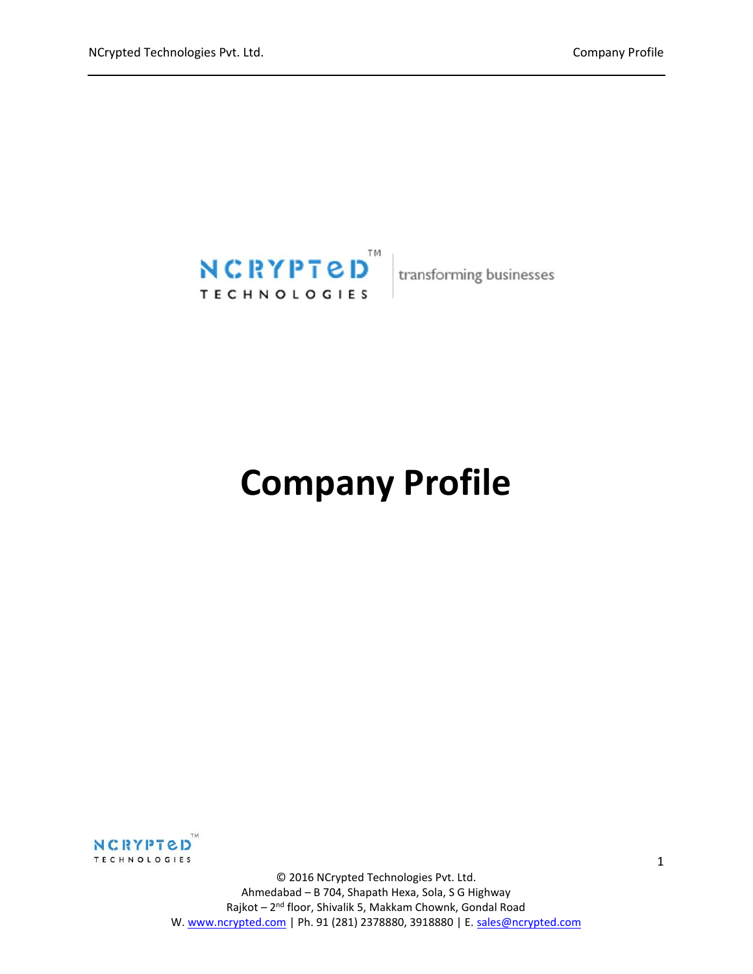

transforming businesses

# **Company Profile**



© 2016 NCrypted Technologies Pvt. Ltd. Ahmedabad – B 704, Shapath Hexa, Sola, S G Highway Rajkot – 2<sup>nd</sup> floor, Shivalik 5, Makkam Chownk, Gondal Road W. www.ncrypted.com | Ph. 91 (281) 2378880, 3918880 | E. sales@ncrypted.com 1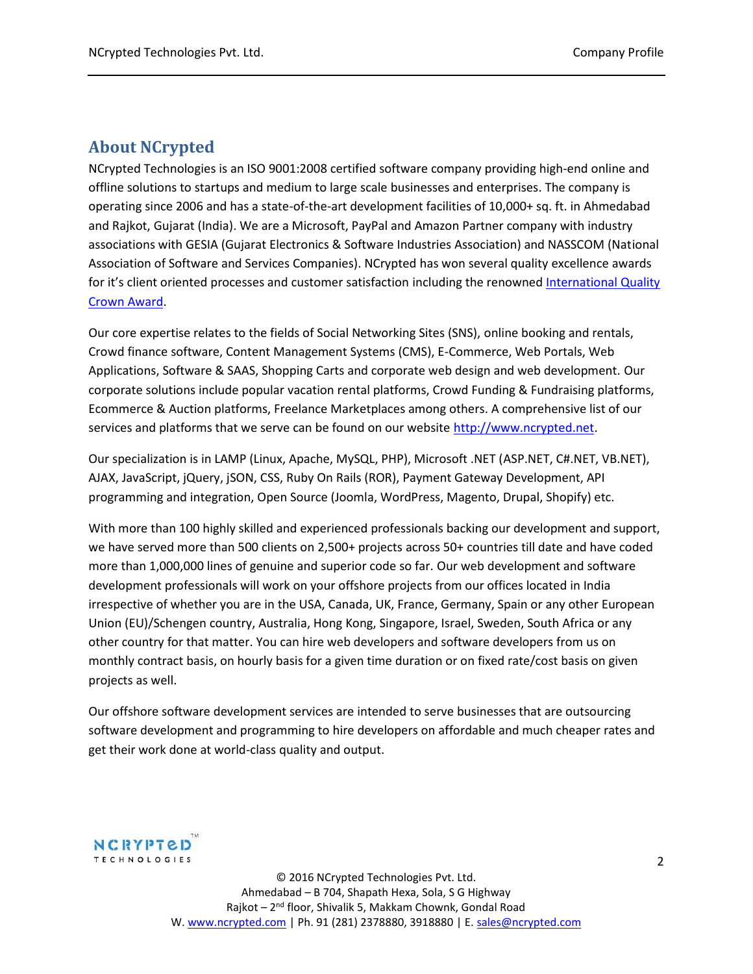#### **About NCrypted**

NCrypted Technologies is an ISO 9001:2008 certified software company providing high-end online and offline solutions to startups and medium to large scale businesses and enterprises. The company is operating since 2006 and has a state-of-the-art development facilities of 10,000+ sq. ft. in Ahmedabad and Rajkot, Gujarat (India). We are a Microsoft, PayPal and Amazon Partner company with industry associations with GESIA (Gujarat Electronics & Software Industries Association) and NASSCOM (National Association of Software and Services Companies). NCrypted has won several quality excellence awards for it's client oriented processes and customer satisfaction including the renowned International Quality Crown Award.

Our core expertise relates to the fields of Social Networking Sites (SNS), online booking and rentals, Crowd finance software, Content Management Systems (CMS), E-Commerce, Web Portals, Web Applications, Software & SAAS, Shopping Carts and corporate web design and web development. Our corporate solutions include popular vacation rental platforms, Crowd Funding & Fundraising platforms, Ecommerce & Auction platforms, Freelance Marketplaces among others. A comprehensive list of our services and platforms that we serve can be found on our website http://www.ncrypted.net.

Our specialization is in LAMP (Linux, Apache, MySQL, PHP), Microsoft .NET (ASP.NET, C#.NET, VB.NET), AJAX, JavaScript, jQuery, jSON, CSS, Ruby On Rails (ROR), Payment Gateway Development, API programming and integration, Open Source (Joomla, WordPress, Magento, Drupal, Shopify) etc.

With more than 100 highly skilled and experienced professionals backing our development and support, we have served more than 500 clients on 2,500+ projects across 50+ countries till date and have coded more than 1,000,000 lines of genuine and superior code so far. Our web development and software development professionals will work on your offshore projects from our offices located in India irrespective of whether you are in the USA, Canada, UK, France, Germany, Spain or any other European Union (EU)/Schengen country, Australia, Hong Kong, Singapore, Israel, Sweden, South Africa or any other country for that matter. You can hire web developers and software developers from us on monthly contract basis, on hourly basis for a given time duration or on fixed rate/cost basis on given projects as well.

Our offshore software development services are intended to serve businesses that are outsourcing software development and programming to hire developers on affordable and much cheaper rates and get their work done at world-class quality and output.

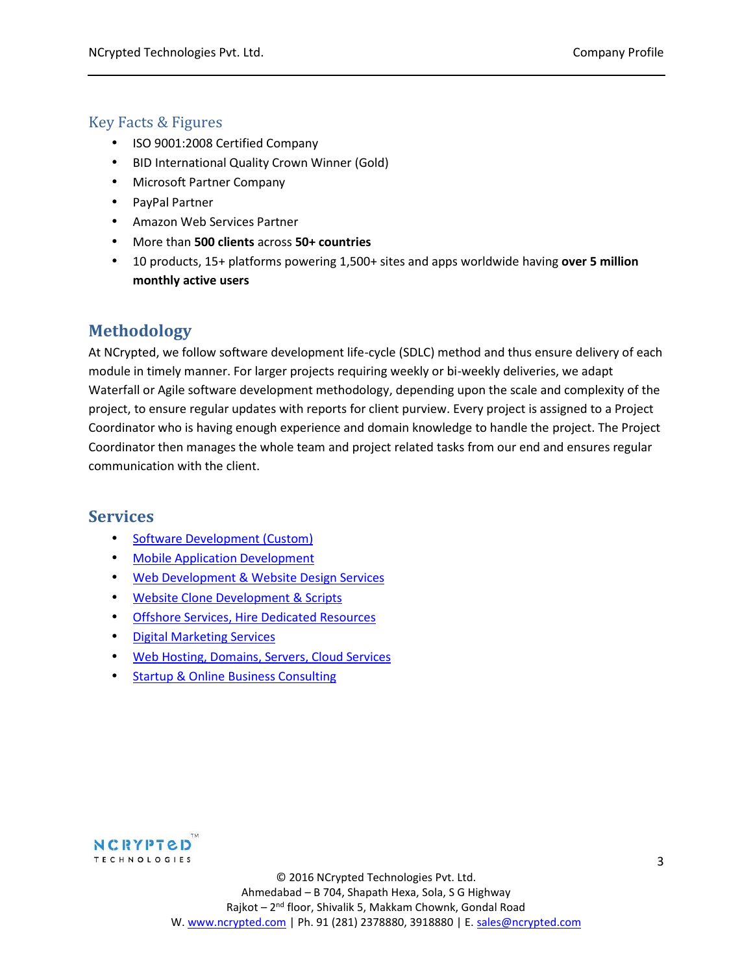#### Key Facts & Figures

- ISO 9001:2008 Certified Company
- BID International Quality Crown Winner (Gold)
- Microsoft Partner Company
- PayPal Partner
- Amazon Web Services Partner
- More than **500 clients** across **50+ countries**
- 10 products, 15+ platforms powering 1,500+ sites and apps worldwide having **over 5 million monthly active users**

#### **Methodology**

At NCrypted, we follow software development life-cycle (SDLC) method and thus ensure delivery of each module in timely manner. For larger projects requiring weekly or bi-weekly deliveries, we adapt Waterfall or Agile software development methodology, depending upon the scale and complexity of the project, to ensure regular updates with reports for client purview. Every project is assigned to a Project Coordinator who is having enough experience and domain knowledge to handle the project. The Project Coordinator then manages the whole team and project related tasks from our end and ensures regular communication with the client.

#### **Services**

- Software Development (Custom)
- Mobile Application Development
- Web Development & Website Design Services
- Website Clone Development & Scripts
- **.** Offshore Services, Hire Dedicated Resources
- Digital Marketing Services
- Web Hosting, Domains, Servers, Cloud Services
- Startup & Online Business Consulting

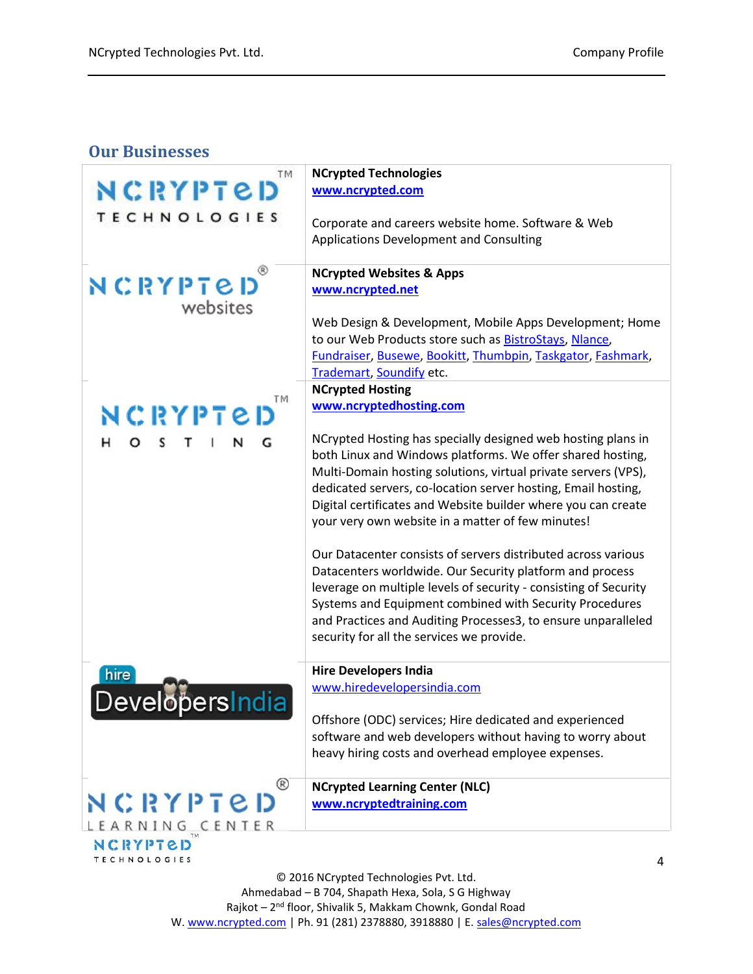#### **Our Businesses**

| <b>TM</b>            | <b>NCrypted Technologies</b>                                                                  |  |
|----------------------|-----------------------------------------------------------------------------------------------|--|
| NCRYPTED             | www.ncrypted.com                                                                              |  |
| <b>TECHNOLOGIES</b>  |                                                                                               |  |
|                      | Corporate and careers website home. Software & Web<br>Applications Development and Consulting |  |
|                      |                                                                                               |  |
|                      | <b>NCrypted Websites &amp; Apps</b>                                                           |  |
| NCRYPTED<br>websites | www.ncrypted.net                                                                              |  |
|                      | Web Design & Development, Mobile Apps Development; Home                                       |  |
|                      | to our Web Products store such as BistroStays, Nlance,                                        |  |
|                      | Fundraiser, Busewe, Bookitt, Thumbpin, Taskgator, Fashmark,                                   |  |
|                      | Trademart, Soundify etc.                                                                      |  |
| TM                   | <b>NCrypted Hosting</b>                                                                       |  |
| NCRYPTED             | www.ncryptedhosting.com                                                                       |  |
|                      | NCrypted Hosting has specially designed web hosting plans in                                  |  |
|                      | both Linux and Windows platforms. We offer shared hosting,                                    |  |
|                      | Multi-Domain hosting solutions, virtual private servers (VPS),                                |  |
|                      | dedicated servers, co-location server hosting, Email hosting,                                 |  |
|                      | Digital certificates and Website builder where you can create                                 |  |
|                      | your very own website in a matter of few minutes!                                             |  |
|                      | Our Datacenter consists of servers distributed across various                                 |  |
|                      | Datacenters worldwide. Our Security platform and process                                      |  |
|                      | leverage on multiple levels of security - consisting of Security                              |  |
|                      | Systems and Equipment combined with Security Procedures                                       |  |
|                      | and Practices and Auditing Processes3, to ensure unparalleled                                 |  |
|                      | security for all the services we provide.                                                     |  |
| hire                 | <b>Hire Developers India</b>                                                                  |  |
| DevelopersIndia      | www.hiredevelopersindia.com                                                                   |  |
|                      | Offshore (ODC) services; Hire dedicated and experienced                                       |  |
|                      | software and web developers without having to worry about                                     |  |
|                      | heavy hiring costs and overhead employee expenses.                                            |  |
| $^{\circledR}$       | <b>NCrypted Learning Center (NLC)</b>                                                         |  |
| NCRYPTED             | www.ncryptedtraining.com                                                                      |  |
| LEARNING CENTER      |                                                                                               |  |
| NCRYPTED             |                                                                                               |  |
| <b>TECHNOLOGIES</b>  | 4                                                                                             |  |
|                      |                                                                                               |  |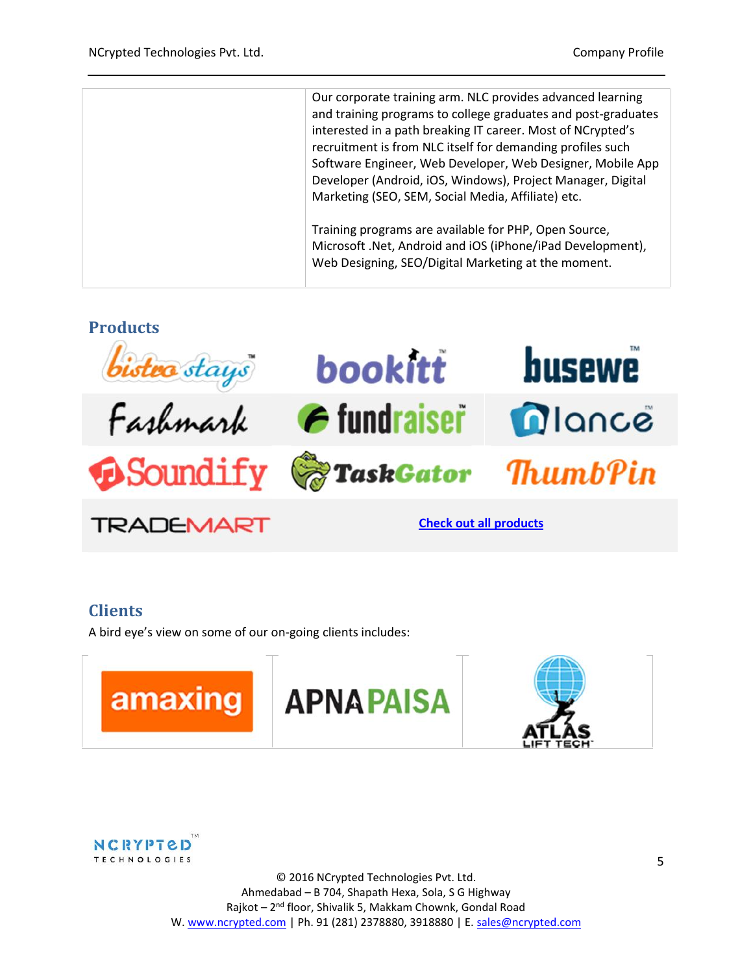| Our corporate training arm. NLC provides advanced learning<br>and training programs to college graduates and post-graduates<br>interested in a path breaking IT career. Most of NCrypted's<br>recruitment is from NLC itself for demanding profiles such<br>Software Engineer, Web Developer, Web Designer, Mobile App<br>Developer (Android, iOS, Windows), Project Manager, Digital<br>Marketing (SEO, SEM, Social Media, Affiliate) etc.<br>Training programs are available for PHP, Open Source,<br>Microsoft .Net, Android and iOS (iPhone/iPad Development), |
|--------------------------------------------------------------------------------------------------------------------------------------------------------------------------------------------------------------------------------------------------------------------------------------------------------------------------------------------------------------------------------------------------------------------------------------------------------------------------------------------------------------------------------------------------------------------|
| Web Designing, SEO/Digital Marketing at the moment.                                                                                                                                                                                                                                                                                                                                                                                                                                                                                                                |



#### **Clients**

A bird eye's view on some of our on-going clients includes:



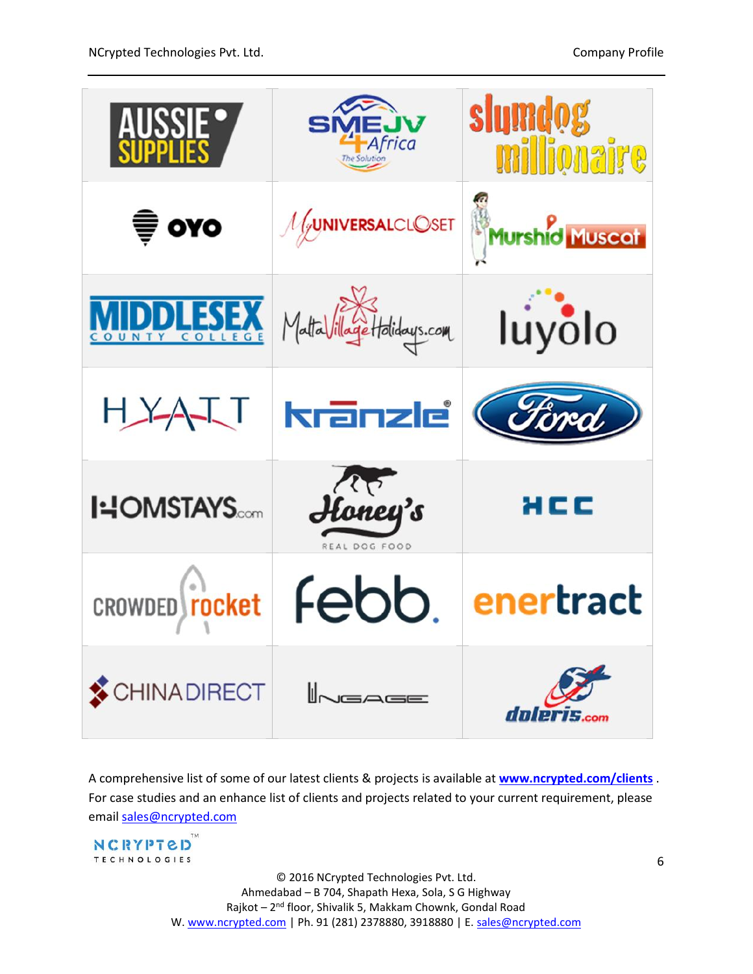| <b>AUSSIE</b>         | SM<br>Africa               | slumdog<br>millionaire |
|-----------------------|----------------------------|------------------------|
| <b>⊜ ovo</b>          | $M_{\ell}$ UNIVERSALCLOSET | Murshid Muscal         |
| <b>DLESEX</b>         | MattaVillageHolidays.com   | luyolo                 |
| HYAIT                 | kranzle                    |                        |
| <b>I: OMSTAYS</b>     | Honey's<br>DOG FOOD        | HCC                    |
| CROWDED <b>rocket</b> | febb.                      | enertract              |
| CHINADIRECT           | INGAGE                     | doleris                |

A comprehensive list of some of our latest clients & projects is available at **www.ncrypted.com/clients** . For case studies and an enhance list of clients and projects related to your current requirement, please email sales@ncrypted.com

TM NCRYPTED **TECHNOLOGIES**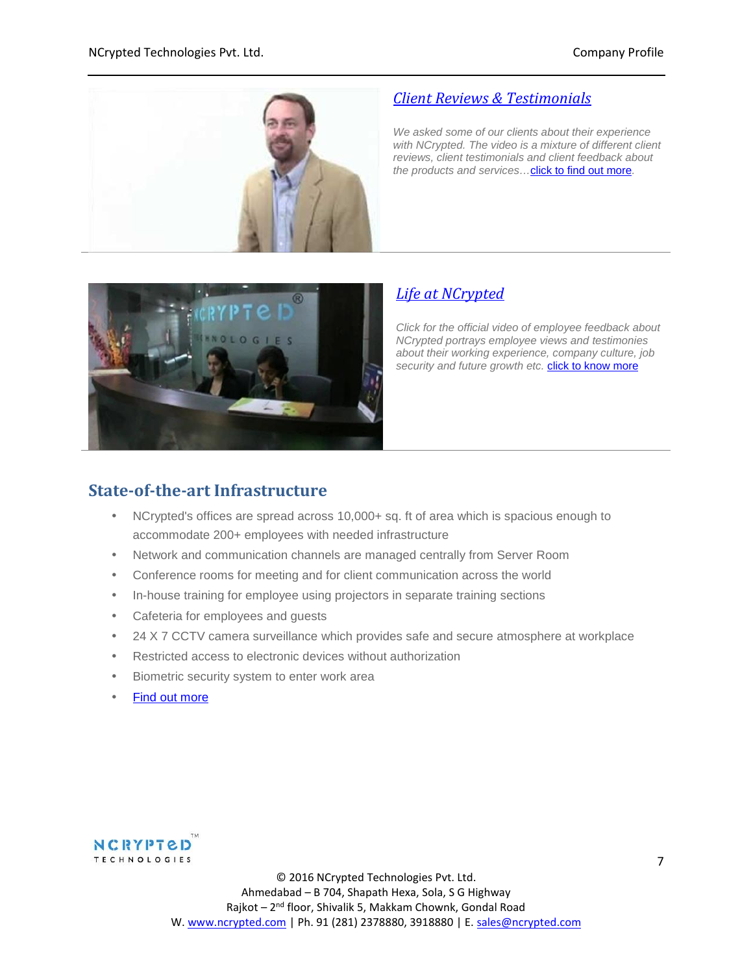

#### *Client Reviews & Testimonials*

*We asked some of our clients about their experience with NCrypted. The video is a mixture of different client reviews, client testimonials and client feedback about the products and services…*click to find out more*.*



#### *Life at NCrypted*

*Click for the official video of employee feedback about NCrypted portrays employee views and testimonies about their working experience, company culture, job* security and future growth etc. **click to know more** 

#### **State-of-the-art Infrastructure**

- NCrypted's offices are spread across 10,000+ sq. ft of area which is spacious enough to accommodate 200+ employees with needed infrastructure
- Network and communication channels are managed centrally from Server Room
- Conference rooms for meeting and for client communication across the world
- In-house training for employee using projectors in separate training sections
- Cafeteria for employees and quests
- 24 X 7 CCTV camera surveillance which provides safe and secure atmosphere at workplace
- Restricted access to electronic devices without authorization
- Biometric security system to enter work area
- Find out more

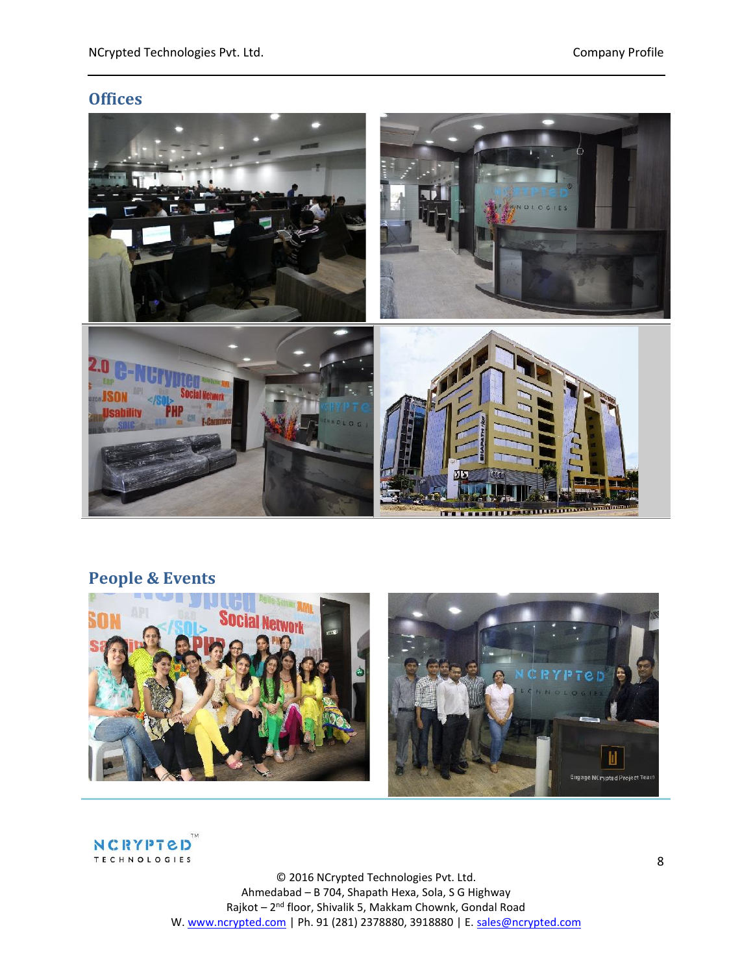#### **Offices**



#### **People & Events**



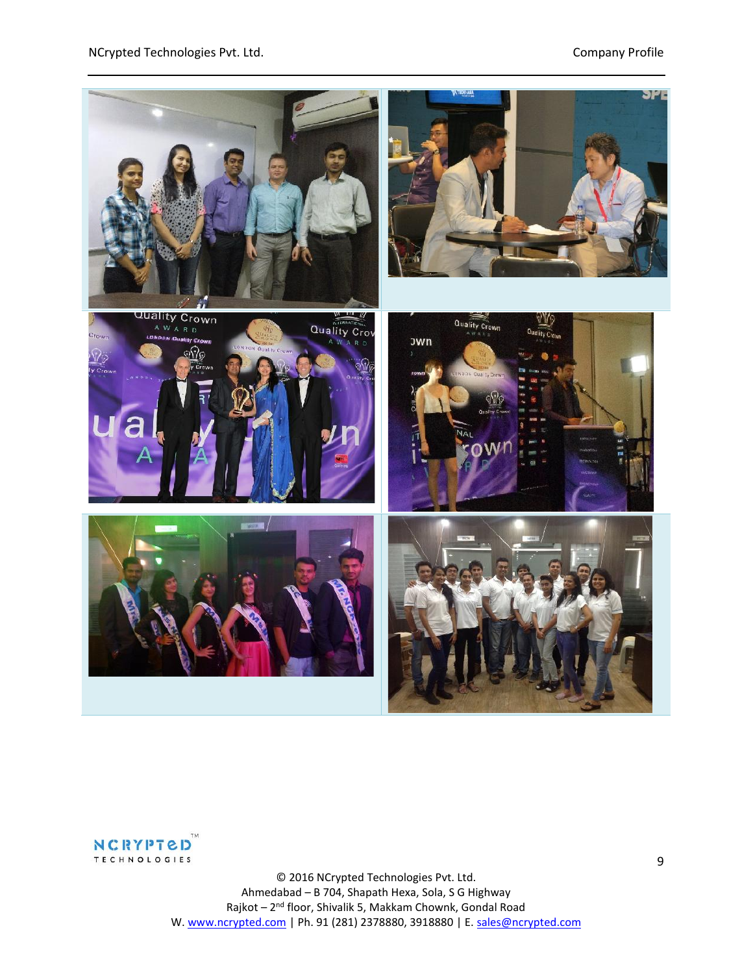